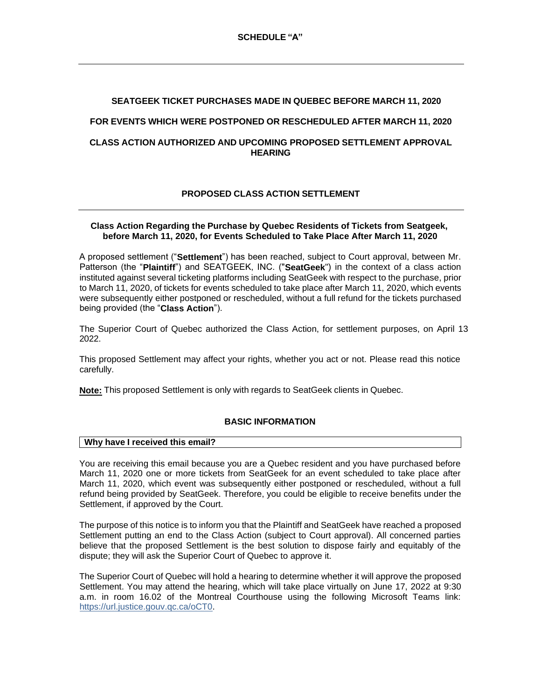## **SEATGEEK TICKET PURCHASES MADE IN QUEBEC BEFORE MARCH 11, 2020**

## **FOR EVENTS WHICH WERE POSTPONED OR RESCHEDULED AFTER MARCH 11, 2020**

## **CLASS ACTION AUTHORIZED AND UPCOMING PROPOSED SETTLEMENT APPROVAL HEARING**

# **PROPOSED CLASS ACTION SETTLEMENT**

## **Class Action Regarding the Purchase by Quebec Residents of Tickets from Seatgeek, before March 11, 2020, for Events Scheduled to Take Place After March 11, 2020**

A proposed settlement ("**Settlement**") has been reached, subject to Court approval, between Mr. Patterson (the "**Plaintiff**") and SEATGEEK, INC. ("**SeatGeek**") in the context of a class action instituted against several ticketing platforms including SeatGeek with respect to the purchase, prior to March 11, 2020, of tickets for events scheduled to take place after March 11, 2020, which events were subsequently either postponed or rescheduled, without a full refund for the tickets purchased being provided (the "**Class Action**").

The Superior Court of Quebec authorized the Class Action, for settlement purposes, on April 13 2022.

This proposed Settlement may affect your rights, whether you act or not. Please read this notice carefully.

**Note:** This proposed Settlement is only with regards to SeatGeek clients in Quebec.

# **BASIC INFORMATION**

#### **Why have I received this email?**

You are receiving this email because you are a Quebec resident and you have purchased before March 11, 2020 one or more tickets from SeatGeek for an event scheduled to take place after March 11, 2020, which event was subsequently either postponed or rescheduled, without a full refund being provided by SeatGeek. Therefore, you could be eligible to receive benefits under the Settlement, if approved by the Court.

The purpose of this notice is to inform you that the Plaintiff and SeatGeek have reached a proposed Settlement putting an end to the Class Action (subject to Court approval). All concerned parties believe that the proposed Settlement is the best solution to dispose fairly and equitably of the dispute; they will ask the Superior Court of Quebec to approve it.

The Superior Court of Quebec will hold a hearing to determine whether it will approve the proposed Settlement. You may attend the hearing, which will take place virtually on June 17, 2022 at 9:30 a.m. in room 16.02 of the Montreal Courthouse using the following Microsoft Teams link: https://url.justice.gouv.qc.ca/oCT0.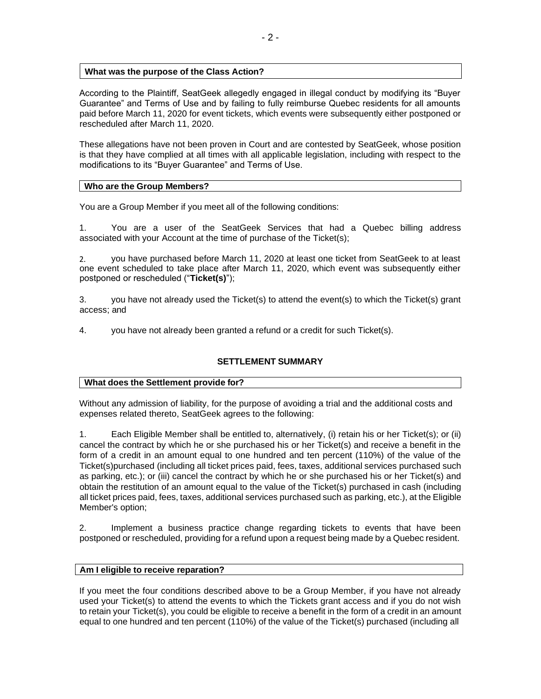## **What was the purpose of the Class Action?**

According to the Plaintiff, SeatGeek allegedly engaged in illegal conduct by modifying its "Buyer Guarantee" and Terms of Use and by failing to fully reimburse Quebec residents for all amounts paid before March 11, 2020 for event tickets, which events were subsequently either postponed or rescheduled after March 11, 2020.

These allegations have not been proven in Court and are contested by SeatGeek, whose position is that they have complied at all times with all applicable legislation, including with respect to the modifications to its "Buyer Guarantee" and Terms of Use.

## **Who are the Group Members?**

You are a Group Member if you meet all of the following conditions:

1. You are a user of the SeatGeek Services that had a Quebec billing address associated with your Account at the time of purchase of the Ticket(s);

2. you have purchased before March 11, 2020 at least one ticket from SeatGeek to at least one event scheduled to take place after March 11, 2020, which event was subsequently either postponed or rescheduled ("**Ticket(s)**");

3. you have not already used the Ticket(s) to attend the event(s) to which the Ticket(s) grant access; and

4. you have not already been granted a refund or a credit for such Ticket(s).

# **SETTLEMENT SUMMARY**

## **What does the Settlement provide for?**

Without any admission of liability, for the purpose of avoiding a trial and the additional costs and expenses related thereto, SeatGeek agrees to the following:

1. Each Eligible Member shall be entitled to, alternatively, (i) retain his or her Ticket(s); or (ii) cancel the contract by which he or she purchased his or her Ticket(s) and receive a benefit in the form of a credit in an amount equal to one hundred and ten percent (110%) of the value of the Ticket(s)purchased (including all ticket prices paid, fees, taxes, additional services purchased such as parking, etc.); or (iii) cancel the contract by which he or she purchased his or her Ticket(s) and obtain the restitution of an amount equal to the value of the Ticket(s) purchased in cash (including all ticket prices paid, fees, taxes, additional services purchased such as parking, etc.), at the Eligible Member's option;

2. Implement a business practice change regarding tickets to events that have been postponed or rescheduled, providing for a refund upon a request being made by a Quebec resident.

## **Am I eligible to receive reparation?**

If you meet the four conditions described above to be a Group Member, if you have not already used your Ticket(s) to attend the events to which the Tickets grant access and if you do not wish to retain your Ticket(s), you could be eligible to receive a benefit in the form of a credit in an amount equal to one hundred and ten percent (110%) of the value of the Ticket(s) purchased (including all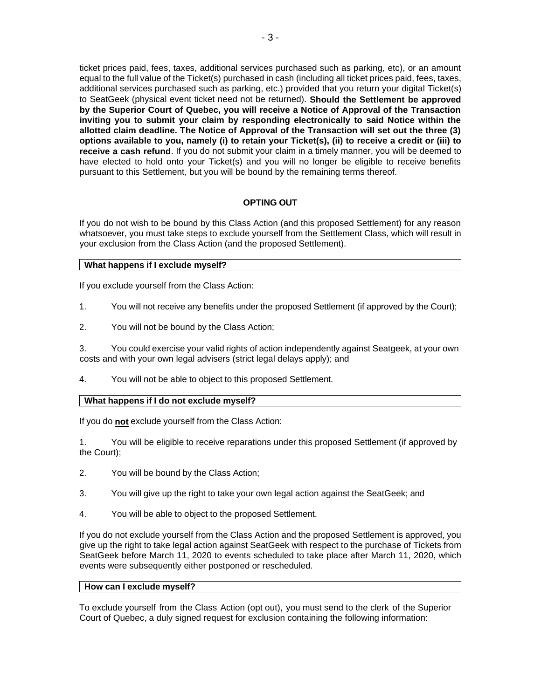ticket prices paid, fees, taxes, additional services purchased such as parking, etc), or an amount equal to the full value of the Ticket(s) purchased in cash (including all ticket prices paid, fees, taxes, additional services purchased such as parking, etc.) provided that you return your digital Ticket(s) to SeatGeek (physical event ticket need not be returned). **Should the Settlement be approved by the Superior Court of Quebec, you will receive a Notice of Approval of the Transaction inviting you to submit your claim by responding electronically to said Notice within the allotted claim deadline. The Notice of Approval of the Transaction will set out the three (3) options available to you, namely (i) to retain your Ticket(s), (ii) to receive a credit or (iii) to receive a cash refund**. If you do not submit your claim in a timely manner, you will be deemed to have elected to hold onto your Ticket(s) and you will no longer be eligible to receive benefits pursuant to this Settlement, but you will be bound by the remaining terms thereof.

# **OPTING OUT**

If you do not wish to be bound by this Class Action (and this proposed Settlement) for any reason whatsoever, you must take steps to exclude yourself from the Settlement Class, which will result in your exclusion from the Class Action (and the proposed Settlement).

## **What happens if I exclude myself?**

If you exclude yourself from the Class Action:

- 1. You will not receive any benefits under the proposed Settlement (if approved by the Court);
- 2. You will not be bound by the Class Action;

3. You could exercise your valid rights of action independently against Seatgeek, at your own costs and with your own legal advisers (strict legal delays apply); and

4. You will not be able to object to this proposed Settlement.

## **What happens if I do not exclude myself?**

If you do **not** exclude yourself from the Class Action:

1. You will be eligible to receive reparations under this proposed Settlement (if approved by the Court);

- 2. You will be bound by the Class Action;
- 3. You will give up the right to take your own legal action against the SeatGeek; and
- 4. You will be able to object to the proposed Settlement.

If you do not exclude yourself from the Class Action and the proposed Settlement is approved, you give up the right to take legal action against SeatGeek with respect to the purchase of Tickets from SeatGeek before March 11, 2020 to events scheduled to take place after March 11, 2020, which events were subsequently either postponed or rescheduled.

## **How can I exclude myself?**

To exclude yourself from the Class Action (opt out), you must send to the clerk of the Superior Court of Quebec, a duly signed request for exclusion containing the following information: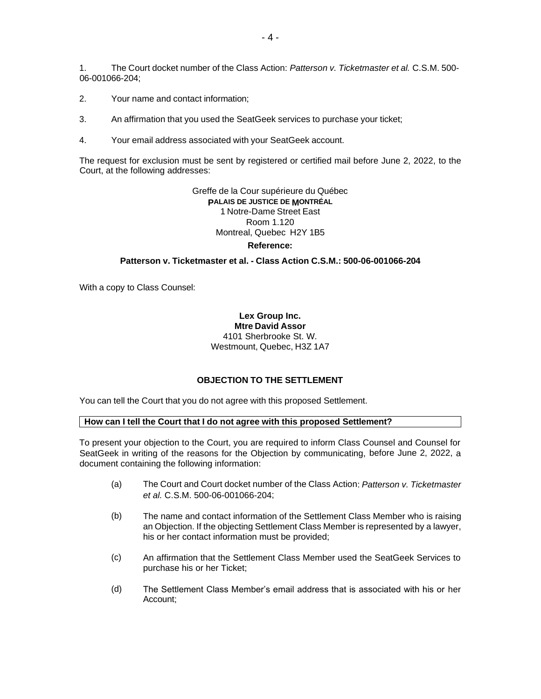1. The Court docket number of the Class Action: *Patterson v. Ticketmaster et al.* C.S.M. 500- 06-001066-204;

- 2. Your name and contact information;
- 3. An affirmation that you used the SeatGeek services to purchase your ticket;
- 4. Your email address associated with your SeatGeek account.

The request for exclusion must be sent by registered or certified mail before June 2, 2022, to the Court, at the following addresses:

> Greffe de la Cour supérieure du Québec **PALAIS DE JUSTICE DE MONTRÉAL** 1 Notre-Dame Street East Room 1.120 Montreal, Quebec H2Y 1B5 **Reference:**

#### **Patterson v. Ticketmaster et al. - Class Action C.S.M.: 500-06-001066-204**

With a copy to Class Counsel:

#### **Lex Group Inc. Mtre David Assor** 4101 Sherbrooke St. W. Westmount, Quebec, H3Z 1A7

#### **OBJECTION TO THE SETTLEMENT**

You can tell the Court that you do not agree with this proposed Settlement.

#### **How can I tell the Court that I do not agree with this proposed Settlement?**

To present your objection to the Court, you are required to inform Class Counsel and Counsel for SeatGeek in writing of the reasons for the Objection by communicating, before June 2, 2022, a document containing the following information:

- (a) The Court and Court docket number of the Class Action: *Patterson v. Ticketmaster et al.* C.S.M. 500-06-001066-204;
- (b) The name and contact information of the Settlement Class Member who is raising an Objection. If the objecting Settlement Class Member is represented by a lawyer, his or her contact information must be provided;
- (c) An affirmation that the Settlement Class Member used the SeatGeek Services to purchase his or her Ticket;
- (d) The Settlement Class Member's email address that is associated with his or her Account;